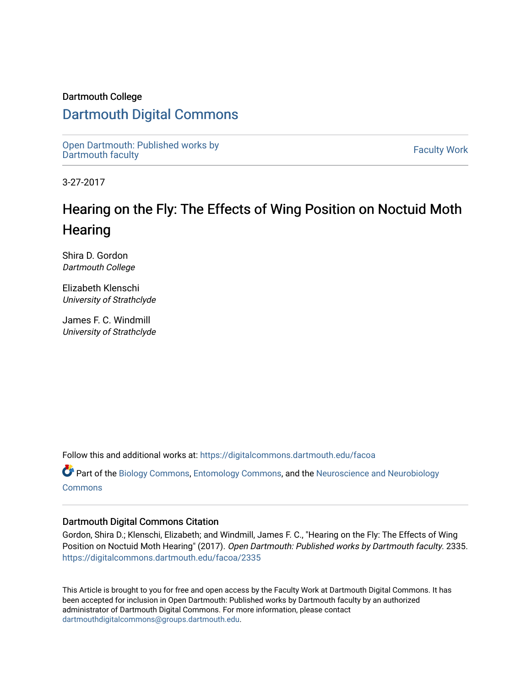## Dartmouth College

# [Dartmouth Digital Commons](https://digitalcommons.dartmouth.edu/)

[Open Dartmouth: Published works by](https://digitalcommons.dartmouth.edu/facoa)  Open Dartmouth Faculty Workship School and [Dartmouth faculty](https://digitalcommons.dartmouth.edu/facoa) Work<br>Dartmouth faculty

3-27-2017

# Hearing on the Fly: The Effects of Wing Position on Noctuid Moth **Hearing**

Shira D. Gordon Dartmouth College

Elizabeth Klenschi University of Strathclyde

James F. C. Windmill University of Strathclyde

Follow this and additional works at: [https://digitalcommons.dartmouth.edu/facoa](https://digitalcommons.dartmouth.edu/facoa?utm_source=digitalcommons.dartmouth.edu%2Ffacoa%2F2335&utm_medium=PDF&utm_campaign=PDFCoverPages)

Part of the [Biology Commons,](http://network.bepress.com/hgg/discipline/41?utm_source=digitalcommons.dartmouth.edu%2Ffacoa%2F2335&utm_medium=PDF&utm_campaign=PDFCoverPages) [Entomology Commons,](http://network.bepress.com/hgg/discipline/83?utm_source=digitalcommons.dartmouth.edu%2Ffacoa%2F2335&utm_medium=PDF&utm_campaign=PDFCoverPages) and the [Neuroscience and Neurobiology](http://network.bepress.com/hgg/discipline/55?utm_source=digitalcommons.dartmouth.edu%2Ffacoa%2F2335&utm_medium=PDF&utm_campaign=PDFCoverPages)  **[Commons](http://network.bepress.com/hgg/discipline/55?utm_source=digitalcommons.dartmouth.edu%2Ffacoa%2F2335&utm_medium=PDF&utm_campaign=PDFCoverPages)** 

## Dartmouth Digital Commons Citation

Gordon, Shira D.; Klenschi, Elizabeth; and Windmill, James F. C., "Hearing on the Fly: The Effects of Wing Position on Noctuid Moth Hearing" (2017). Open Dartmouth: Published works by Dartmouth faculty. 2335. [https://digitalcommons.dartmouth.edu/facoa/2335](https://digitalcommons.dartmouth.edu/facoa/2335?utm_source=digitalcommons.dartmouth.edu%2Ffacoa%2F2335&utm_medium=PDF&utm_campaign=PDFCoverPages) 

This Article is brought to you for free and open access by the Faculty Work at Dartmouth Digital Commons. It has been accepted for inclusion in Open Dartmouth: Published works by Dartmouth faculty by an authorized administrator of Dartmouth Digital Commons. For more information, please contact [dartmouthdigitalcommons@groups.dartmouth.edu](mailto:dartmouthdigitalcommons@groups.dartmouth.edu).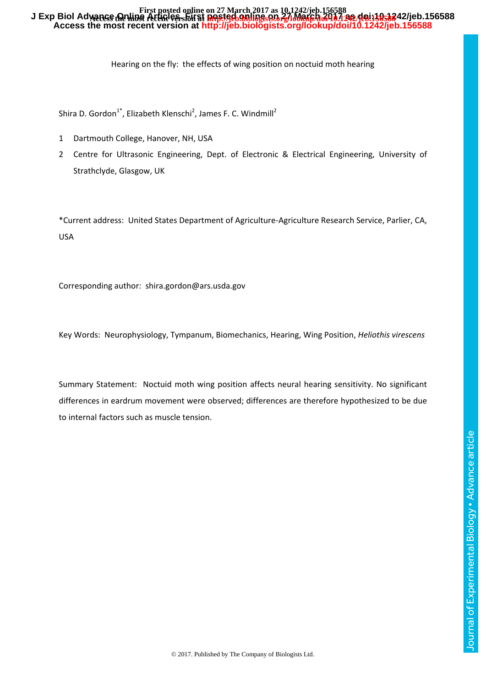# **Access the most recent version at<http://jeb.biologists.org/lookup/doi/10.1242/jeb.156588>** First posted online on 27 March 2017 as 10,1242/jeb.156588<br>J Exp Biol Adyance nanling Attinless of the <mark>postgebonlings.en. 21 Mars an Mars of all prosess</mark> 42/jeb.156588 J

Hearing on the fly: the effects of wing position on noctuid moth hearing

Shira D. Gordon<sup>1\*</sup>, Elizabeth Klenschi<sup>2</sup>, James F. C. Windmill<sup>2</sup>

- 1 Dartmouth College, Hanover, NH, USA
- 2 Centre for Ultrasonic Engineering, Dept. of Electronic & Electrical Engineering, University of Strathclyde, Glasgow, UK

\*Current address: United States Department of Agriculture-Agriculture Research Service, Parlier, CA, USA

Corresponding author: [shira.gordon@ars.usda.gov](mailto:shira.gordon@ars.usda.gov)

Key Words: Neurophysiology, Tympanum, Biomechanics, Hearing, Wing Position, *Heliothis virescens*

Summary Statement: Noctuid moth wing position affects neural hearing sensitivity. No significant differences in eardrum movement were observed; differences are therefore hypothesized to be due to internal factors such as muscle tension.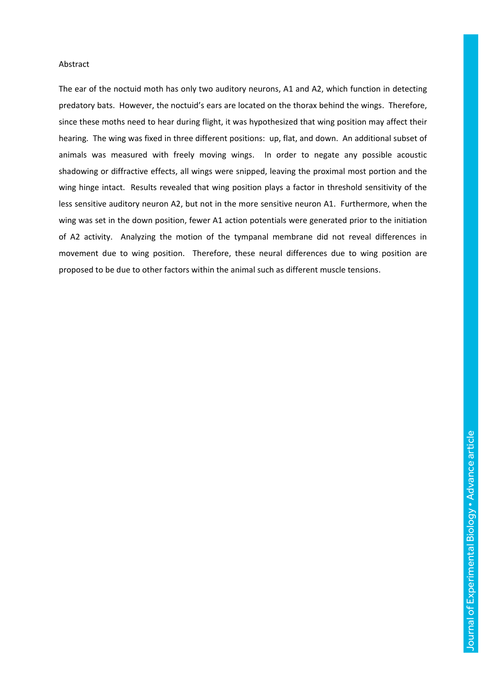### Abstract

The ear of the noctuid moth has only two auditory neurons, A1 and A2, which function in detecting predatory bats. However, the noctuid's ears are located on the thorax behind the wings. Therefore, since these moths need to hear during flight, it was hypothesized that wing position may affect their hearing. The wing was fixed in three different positions: up, flat, and down. An additional subset of animals was measured with freely moving wings. In order to negate any possible acoustic shadowing or diffractive effects, all wings were snipped, leaving the proximal most portion and the wing hinge intact. Results revealed that wing position plays a factor in threshold sensitivity of the less sensitive auditory neuron A2, but not in the more sensitive neuron A1. Furthermore, when the wing was set in the down position, fewer A1 action potentials were generated prior to the initiation of A2 activity. Analyzing the motion of the tympanal membrane did not reveal differences in movement due to wing position. Therefore, these neural differences due to wing position are proposed to be due to other factors within the animal such as different muscle tensions.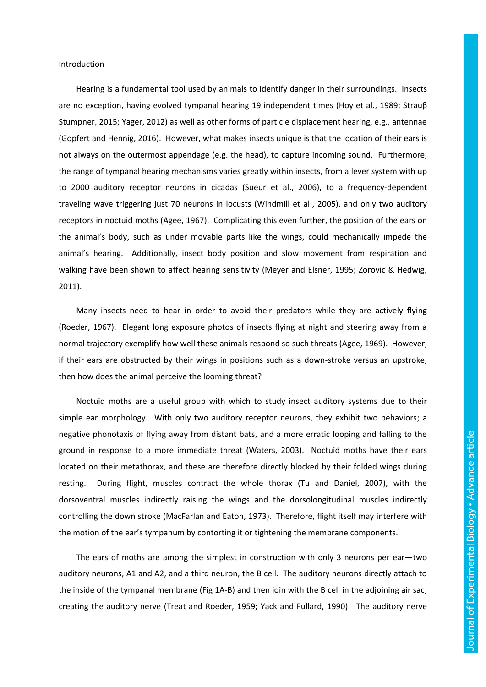#### Introduction

Hearing is a fundamental tool used by animals to identify danger in their surroundings. Insects are no exception, having evolved tympanal hearing 19 independent times (Hoy et al., 1989; Strauβ Stumpner, 2015; Yager, 2012) as well as other forms of particle displacement hearing, e.g., antennae (Gopfert and Hennig, 2016). However, what makes insects unique is that the location of their ears is not always on the outermost appendage (e.g. the head), to capture incoming sound. Furthermore, the range of tympanal hearing mechanisms varies greatly within insects, from a lever system with up to 2000 auditory receptor neurons in cicadas (Sueur et al., 2006), to a frequency-dependent traveling wave triggering just 70 neurons in locusts (Windmill et al., 2005), and only two auditory receptors in noctuid moths (Agee, 1967). Complicating this even further, the position of the ears on the animal's body, such as under movable parts like the wings, could mechanically impede the animal's hearing. Additionally, insect body position and slow movement from respiration and walking have been shown to affect hearing sensitivity (Meyer and Elsner, 1995; Zorovic & Hedwig, 2011).

Many insects need to hear in order to avoid their predators while they are actively flying (Roeder, 1967). Elegant long exposure photos of insects flying at night and steering away from a normal trajectory exemplify how well these animals respond so such threats (Agee, 1969). However, if their ears are obstructed by their wings in positions such as a down-stroke versus an upstroke, then how does the animal perceive the looming threat?

Noctuid moths are a useful group with which to study insect auditory systems due to their simple ear morphology. With only two auditory receptor neurons, they exhibit two behaviors; a negative phonotaxis of flying away from distant bats, and a more erratic looping and falling to the ground in response to a more immediate threat (Waters, 2003). Noctuid moths have their ears located on their metathorax, and these are therefore directly blocked by their folded wings during resting. During flight, muscles contract the whole thorax (Tu and Daniel, 2007), with the dorsoventral muscles indirectly raising the wings and the dorsolongitudinal muscles indirectly controlling the down stroke (MacFarlan and Eaton, 1973). Therefore, flight itself may interfere with the motion of the ear's tympanum by contorting it or tightening the membrane components.

The ears of moths are among the simplest in construction with only 3 neurons per ear—two auditory neurons, A1 and A2, and a third neuron, the B cell. The auditory neurons directly attach to the inside of the tympanal membrane (Fig 1A-B) and then join with the B cell in the adjoining air sac, creating the auditory nerve (Treat and Roeder, 1959; Yack and Fullard, 1990). The auditory nerve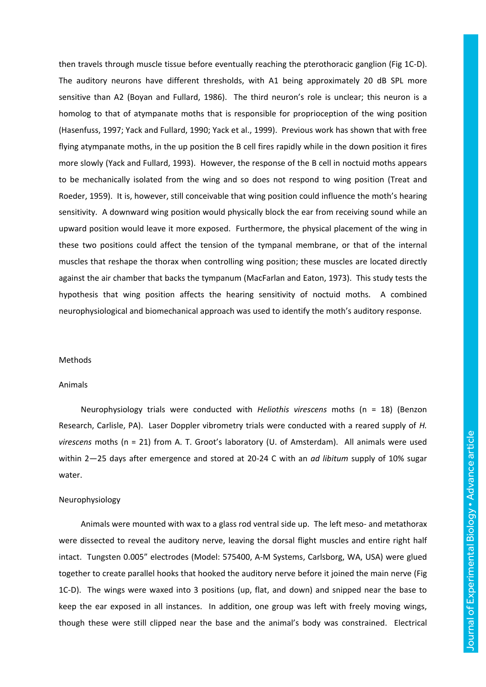then travels through muscle tissue before eventually reaching the pterothoracic ganglion (Fig 1C-D). The auditory neurons have different thresholds, with A1 being approximately 20 dB SPL more sensitive than A2 (Boyan and Fullard, 1986). The third neuron's role is unclear; this neuron is a homolog to that of atympanate moths that is responsible for proprioception of the wing position (Hasenfuss, 1997; Yack and Fullard, 1990; Yack et al., 1999). Previous work has shown that with free flying atympanate moths, in the up position the B cell fires rapidly while in the down position it fires more slowly (Yack and Fullard, 1993). However, the response of the B cell in noctuid moths appears to be mechanically isolated from the wing and so does not respond to wing position (Treat and Roeder, 1959). It is, however, still conceivable that wing position could influence the moth's hearing sensitivity. A downward wing position would physically block the ear from receiving sound while an upward position would leave it more exposed. Furthermore, the physical placement of the wing in these two positions could affect the tension of the tympanal membrane, or that of the internal muscles that reshape the thorax when controlling wing position; these muscles are located directly against the air chamber that backs the tympanum (MacFarlan and Eaton, 1973). This study tests the hypothesis that wing position affects the hearing sensitivity of noctuid moths. A combined neurophysiological and biomechanical approach was used to identify the moth's auditory response.

#### Methods

#### Animals

Neurophysiology trials were conducted with *Heliothis virescens* moths (n = 18) (Benzon Research, Carlisle, PA). Laser Doppler vibrometry trials were conducted with a reared supply of *H. virescens* moths (n = 21) from A. T. Groot's laboratory (U. of Amsterdam). All animals were used within 2—25 days after emergence and stored at 20-24 C with an *ad libitum* supply of 10% sugar water.

#### Neurophysiology

Animals were mounted with wax to a glass rod ventral side up. The left meso- and metathorax were dissected to reveal the auditory nerve, leaving the dorsal flight muscles and entire right half intact. Tungsten 0.005" electrodes (Model: 575400, A-M Systems, Carlsborg, WA, USA) were glued together to create parallel hooks that hooked the auditory nerve before it joined the main nerve (Fig 1C-D). The wings were waxed into 3 positions (up, flat, and down) and snipped near the base to keep the ear exposed in all instances. In addition, one group was left with freely moving wings, though these were still clipped near the base and the animal's body was constrained. Electrical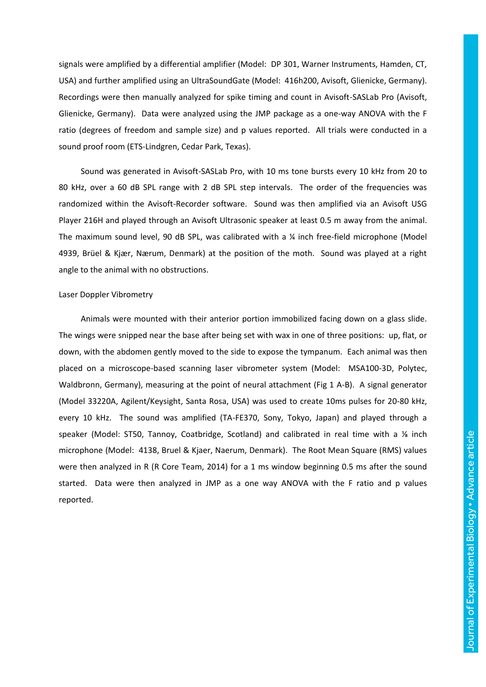signals were amplified by a differential amplifier (Model: DP 301, Warner Instruments, Hamden, CT, USA) and further amplified using an UltraSoundGate (Model: 416h200, Avisoft, Glienicke, Germany). Recordings were then manually analyzed for spike timing and count in Avisoft-SASLab Pro (Avisoft, Glienicke, Germany). Data were analyzed using the JMP package as a one-way ANOVA with the F ratio (degrees of freedom and sample size) and p values reported. All trials were conducted in a sound proof room (ETS-Lindgren, Cedar Park, Texas).

Sound was generated in Avisoft-SASLab Pro, with 10 ms tone bursts every 10 kHz from 20 to 80 kHz, over a 60 dB SPL range with 2 dB SPL step intervals. The order of the frequencies was randomized within the Avisoft-Recorder software. Sound was then amplified via an Avisoft USG Player 216H and played through an Avisoft Ultrasonic speaker at least 0.5 m away from the animal. The maximum sound level, 90 dB SPL, was calibrated with a  $\frac{1}{4}$  inch free-field microphone (Model 4939, Brüel & Kjær, Nærum, Denmark) at the position of the moth. Sound was played at a right angle to the animal with no obstructions.

#### Laser Doppler Vibrometry

Animals were mounted with their anterior portion immobilized facing down on a glass slide. The wings were snipped near the base after being set with wax in one of three positions: up, flat, or down, with the abdomen gently moved to the side to expose the tympanum. Each animal was then placed on a microscope-based scanning laser vibrometer system (Model: MSA100-3D, Polytec, Waldbronn, Germany), measuring at the point of neural attachment (Fig 1 A-B). A signal generator (Model 33220A, Agilent/Keysight, Santa Rosa, USA) was used to create 10ms pulses for 20-80 kHz, every 10 kHz. The sound was amplified (TA-FE370, Sony, Tokyo, Japan) and played through a speaker (Model: ST50, Tannoy, Coatbridge, Scotland) and calibrated in real time with a <sup>1/8</sup> inch microphone (Model: 4138, Bruel & Kjaer, Naerum, Denmark). The Root Mean Square (RMS) values were then analyzed in R (R Core Team, 2014) for a 1 ms window beginning 0.5 ms after the sound started. Data were then analyzed in JMP as a one way ANOVA with the F ratio and p values reported.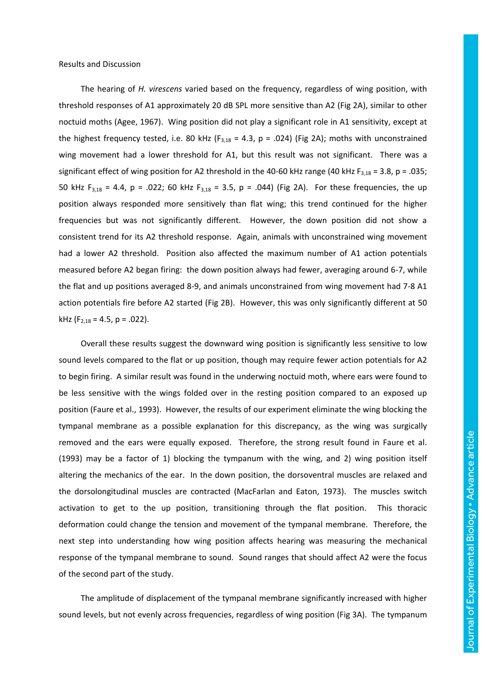The hearing of *H. virescens* varied based on the frequency, regardless of wing position, with threshold responses of A1 approximately 20 dB SPL more sensitive than A2 (Fig 2A), similar to other noctuid moths (Agee, 1967). Wing position did not play a significant role in A1 sensitivity, except at the highest frequency tested, i.e. 80 kHz ( $F_{3,18} = 4.3$ , p = .024) (Fig 2A); moths with unconstrained wing movement had a lower threshold for A1, but this result was not significant. There was a significant effect of wing position for A2 threshold in the 40-60 kHz range (40 kHz  $F_{3,18}$  = 3.8, p = .035; 50 kHz F<sub>3,18</sub> = 4.4, p = .022; 60 kHz F<sub>3,18</sub> = 3.5, p = .044) (Fig 2A). For these frequencies, the up position always responded more sensitively than flat wing; this trend continued for the higher frequencies but was not significantly different. However, the down position did not show a consistent trend for its A2 threshold response. Again, animals with unconstrained wing movement had a lower A2 threshold. Position also affected the maximum number of A1 action potentials measured before A2 began firing: the down position always had fewer, averaging around 6-7, while the flat and up positions averaged 8-9, and animals unconstrained from wing movement had 7-8 A1 action potentials fire before A2 started (Fig 2B). However, this was only significantly different at 50 kHz ( $F_{2,18}$  = 4.5, p = .022).

Overall these results suggest the downward wing position is significantly less sensitive to low sound levels compared to the flat or up position, though may require fewer action potentials for A2 to begin firing. A similar result was found in the underwing noctuid moth, where ears were found to be less sensitive with the wings folded over in the resting position compared to an exposed up position (Faure et al., 1993). However, the results of our experiment eliminate the wing blocking the tympanal membrane as a possible explanation for this discrepancy, as the wing was surgically removed and the ears were equally exposed. Therefore, the strong result found in Faure et al. (1993) may be a factor of 1) blocking the tympanum with the wing, and 2) wing position itself altering the mechanics of the ear. In the down position, the dorsoventral muscles are relaxed and the dorsolongitudinal muscles are contracted (MacFarlan and Eaton, 1973). The muscles switch activation to get to the up position, transitioning through the flat position. This thoracic deformation could change the tension and movement of the tympanal membrane. Therefore, the next step into understanding how wing position affects hearing was measuring the mechanical response of the tympanal membrane to sound. Sound ranges that should affect A2 were the focus of the second part of the study.

The amplitude of displacement of the tympanal membrane significantly increased with higher sound levels, but not evenly across frequencies, regardless of wing position (Fig 3A). The tympanum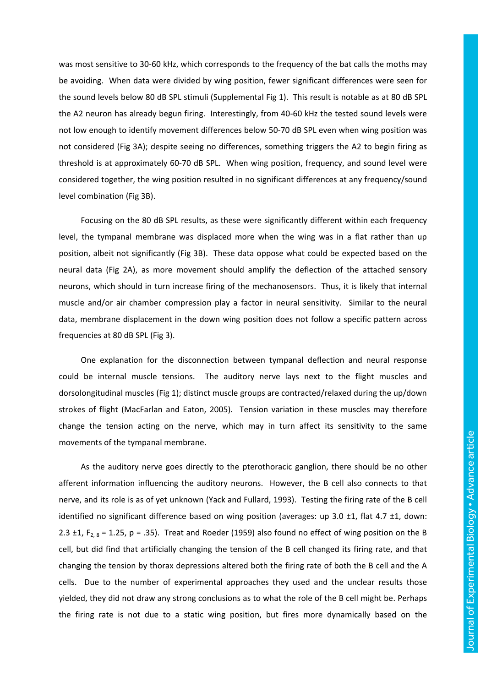was most sensitive to 30-60 kHz, which corresponds to the frequency of the bat calls the moths may be avoiding. When data were divided by wing position, fewer significant differences were seen for the sound levels below 80 dB SPL stimuli (Supplemental Fig 1). This result is notable as at 80 dB SPL the A2 neuron has already begun firing. Interestingly, from 40-60 kHz the tested sound levels were not low enough to identify movement differences below 50-70 dB SPL even when wing position was not considered (Fig 3A); despite seeing no differences, something triggers the A2 to begin firing as threshold is at approximately 60-70 dB SPL. When wing position, frequency, and sound level were considered together, the wing position resulted in no significant differences at any frequency/sound level combination (Fig 3B).

Focusing on the 80 dB SPL results, as these were significantly different within each frequency level, the tympanal membrane was displaced more when the wing was in a flat rather than up position, albeit not significantly (Fig 3B). These data oppose what could be expected based on the neural data (Fig 2A), as more movement should amplify the deflection of the attached sensory neurons, which should in turn increase firing of the mechanosensors. Thus, it is likely that internal muscle and/or air chamber compression play a factor in neural sensitivity. Similar to the neural data, membrane displacement in the down wing position does not follow a specific pattern across frequencies at 80 dB SPL (Fig 3).

One explanation for the disconnection between tympanal deflection and neural response could be internal muscle tensions. The auditory nerve lays next to the flight muscles and dorsolongitudinal muscles (Fig 1); distinct muscle groups are contracted/relaxed during the up/down strokes of flight (MacFarlan and Eaton, 2005). Tension variation in these muscles may therefore change the tension acting on the nerve, which may in turn affect its sensitivity to the same movements of the tympanal membrane.

As the auditory nerve goes directly to the pterothoracic ganglion, there should be no other afferent information influencing the auditory neurons. However, the B cell also connects to that nerve, and its role is as of yet unknown (Yack and Fullard, 1993). Testing the firing rate of the B cell identified no significant difference based on wing position (averages: up 3.0 ±1, flat 4.7 ±1, down: 2.3  $\pm$ 1, F<sub>2, 8</sub> = 1.25, p = .35). Treat and Roeder (1959) also found no effect of wing position on the B cell, but did find that artificially changing the tension of the B cell changed its firing rate, and that changing the tension by thorax depressions altered both the firing rate of both the B cell and the A cells. Due to the number of experimental approaches they used and the unclear results those yielded, they did not draw any strong conclusions as to what the role of the B cell might be. Perhaps the firing rate is not due to a static wing position, but fires more dynamically based on the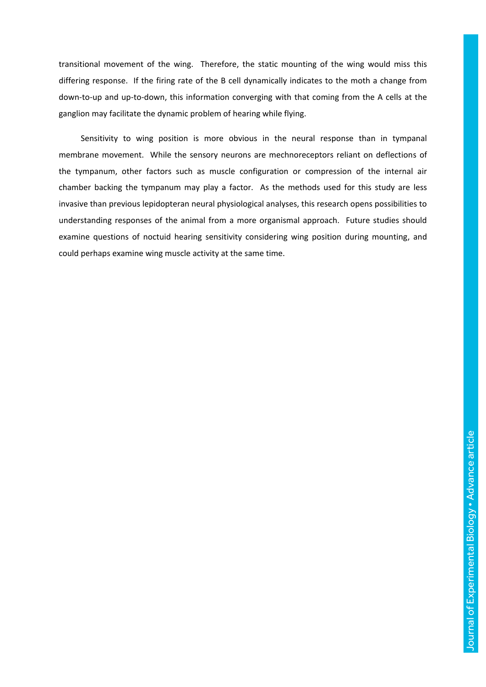transitional movement of the wing. Therefore, the static mounting of the wing would miss this differing response. If the firing rate of the B cell dynamically indicates to the moth a change from down-to-up and up-to-down, this information converging with that coming from the A cells at the ganglion may facilitate the dynamic problem of hearing while flying.

Sensitivity to wing position is more obvious in the neural response than in tympanal membrane movement. While the sensory neurons are mechnoreceptors reliant on deflections of the tympanum, other factors such as muscle configuration or compression of the internal air chamber backing the tympanum may play a factor. As the methods used for this study are less invasive than previous lepidopteran neural physiological analyses, this research opens possibilities to understanding responses of the animal from a more organismal approach. Future studies should examine questions of noctuid hearing sensitivity considering wing position during mounting, and could perhaps examine wing muscle activity at the same time.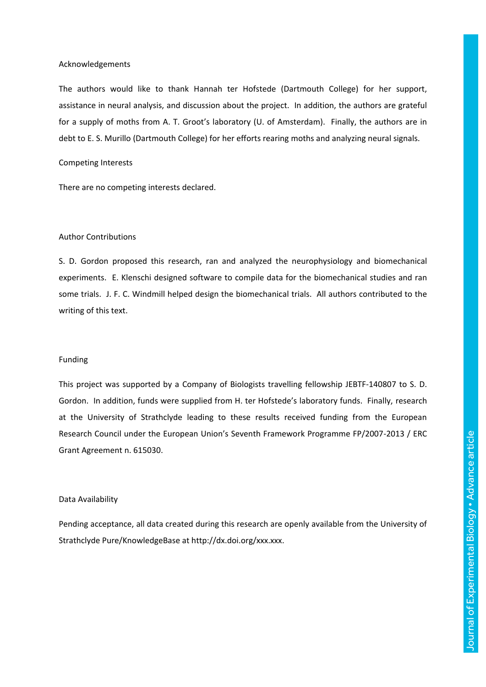#### Acknowledgements

The authors would like to thank Hannah ter Hofstede (Dartmouth College) for her support, assistance in neural analysis, and discussion about the project. In addition, the authors are grateful for a supply of moths from A. T. Groot's laboratory (U. of Amsterdam). Finally, the authors are in debt to E. S. Murillo (Dartmouth College) for her efforts rearing moths and analyzing neural signals.

### Competing Interests

There are no competing interests declared.

## Author Contributions

S. D. Gordon proposed this research, ran and analyzed the neurophysiology and biomechanical experiments. E. Klenschi designed software to compile data for the biomechanical studies and ran some trials. J. F. C. Windmill helped design the biomechanical trials. All authors contributed to the writing of this text.

#### Funding

This project was supported by a Company of Biologists travelling fellowship JEBTF-140807 to S. D. Gordon. In addition, funds were supplied from H. ter Hofstede's laboratory funds. Finally, research at the University of Strathclyde leading to these results received funding from the European Research Council under the European Union's Seventh Framework Programme FP/2007-2013 / ERC Grant Agreement n. 615030.

#### Data Availability

Pending acceptance, all data created during this research are openly available from the University of Strathclyde Pure/KnowledgeBase at http://dx.doi.org/xxx.xxx.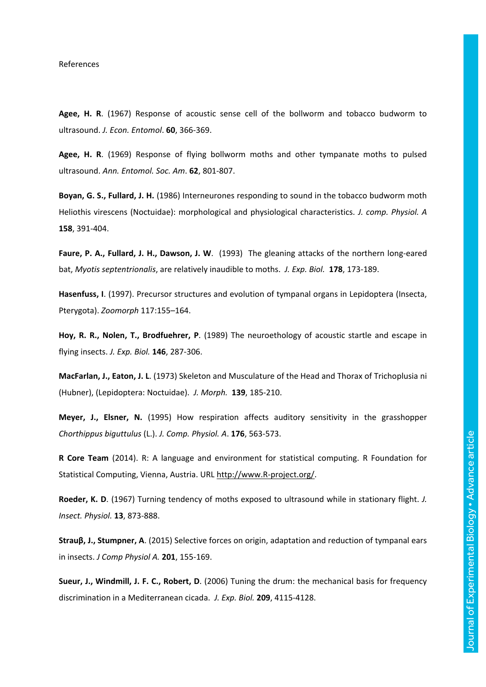#### References

**Agee, H. R**. (1967) Response of acoustic sense cell of the bollworm and tobacco budworm to ultrasound. *J. Econ. Entomol*. **60**, 366-369.

**Agee, H. R**. (1969) Response of flying bollworm moths and other tympanate moths to pulsed ultrasound. *Ann. Entomol. Soc. Am*. **62**, 801-807.

**Boyan, G. S., Fullard, J. H.** (1986) Interneurones responding to sound in the tobacco budworm moth Heliothis virescens (Noctuidae): morphological and physiological characteristics*. J. comp. Physiol. A* **158**, 391-404.

**Faure, P. A., Fullard, J. H., Dawson, J. W**. (1993) The gleaning attacks of the northern long-eared bat, *Myotis septentrionalis*, are relatively inaudible to moths. *J. Exp. Biol.* **178**, 173-189.

**Hasenfuss, I**. (1997). Precursor structures and evolution of tympanal organs in Lepidoptera (Insecta, Pterygota). *Zoomorph* 117:155–164.

**Hoy, R. R., Nolen, T., Brodfuehrer, P**. (1989) The neuroethology of acoustic startle and escape in flying insects. *J. Exp. Biol.* **146**, 287-306.

**MacFarlan, J., Eaton, J. L**. (1973) Skeleton and Musculature of the Head and Thorax of Trichoplusia ni (Hubner), (Lepidoptera: Noctuidae). *J. Morph.* **139**, 185-210.

**Meyer, J., Elsner, N.** (1995) How respiration affects auditory sensitivity in the grasshopper *Chorthippus biguttulus* (L.). *J. Comp. Physiol. A*. **176**, 563-573.

**R Core Team** (2014). R: A language and environment for statistical computing. R Foundation for Statistical Computing, Vienna, Austria. URL [http://www.R-project.org/.](http://www.r-project.org/)

**Roeder, K. D**. (1967) Turning tendency of moths exposed to ultrasound while in stationary flight. *J. Insect. Physiol.* **13**, 873-888.

**Strauβ, J., Stumpner, A**. (2015) Selective forces on origin, adaptation and reduction of tympanal ears in insects. *J Comp Physiol A.* **201**, 155-169.

**Sueur, J., Windmill, J. F. C., Robert, D**. (2006) Tuning the drum: the mechanical basis for frequency discrimination in a Mediterranean cicada. *J. Exp. Biol.* **209**, 4115-4128.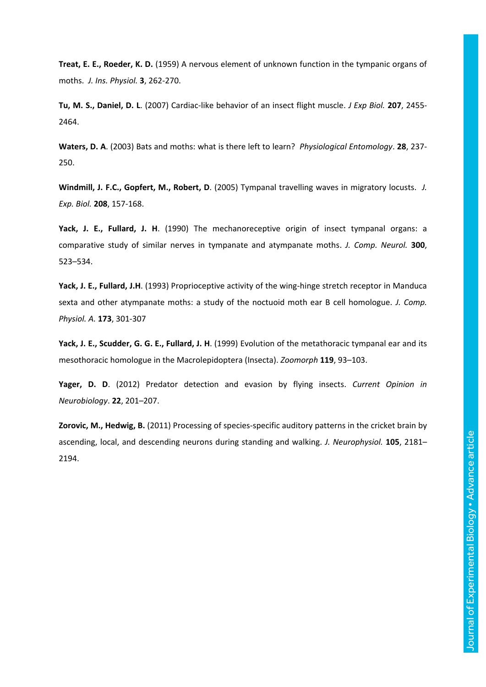**Treat, E. E., Roeder, K. D.** (1959) A nervous element of unknown function in the tympanic organs of moths. *J. Ins. Physiol.* **3**, 262-270.

**Tu, M. S., Daniel, D. L**. (2007) Cardiac-like behavior of an insect flight muscle. *J Exp Biol.* **207**, 2455- 2464.

**Waters, D. A**. (2003) Bats and moths: what is there left to learn? *Physiological Entomology*. **28**, 237- 250.

**Windmill, J. F.C., Gopfert, M., Robert, D**. (2005) Tympanal travelling waves in migratory locusts. *J. Exp. Biol.* **208**, 157-168.

**Yack, J. E., Fullard, J. H**. (1990) The mechanoreceptive origin of insect tympanal organs: a comparative study of similar nerves in tympanate and atympanate moths. *J. Comp. Neurol.* **300**, 523–534.

**Yack, J. E., Fullard, J.H**. (1993) Proprioceptive activity of the wing-hinge stretch receptor in Manduca sexta and other atympanate moths: a study of the noctuoid moth ear B cell homologue. *J. Comp. Physiol. A.* **173**, 301-307

**Yack, J. E., Scudder, G. G. E., Fullard, J. H**. (1999) Evolution of the metathoracic tympanal ear and its mesothoracic homologue in the Macrolepidoptera (Insecta). *Zoomorph* **119**, 93–103.

**Yager, D. D**. (2012) Predator detection and evasion by flying insects. *Current Opinion in Neurobiology*. **22**, 201–207.

**Zorovic, M., Hedwig, B.** (2011) Processing of species-specific auditory patterns in the cricket brain by ascending, local, and descending neurons during standing and walking. *J. Neurophysiol.* **105**, 2181– 2194.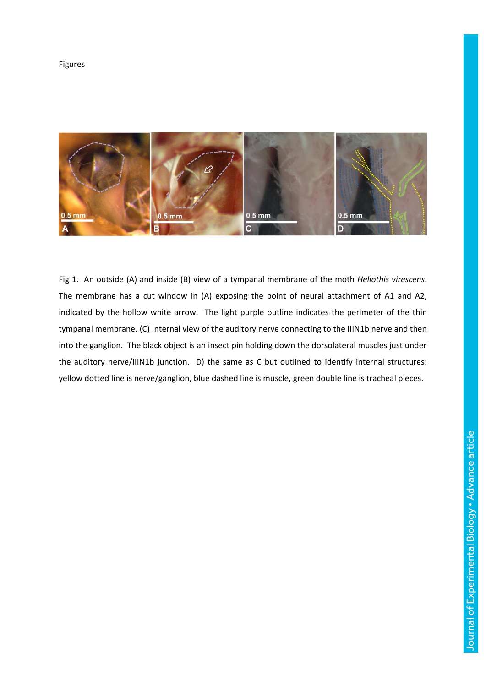

Fig 1. An outside (A) and inside (B) view of a tympanal membrane of the moth *Heliothis virescens*. The membrane has a cut window in (A) exposing the point of neural attachment of A1 and A2, indicated by the hollow white arrow. The light purple outline indicates the perimeter of the thin tympanal membrane. (C) Internal view of the auditory nerve connecting to the IIIN1b nerve and then into the ganglion. The black object is an insect pin holding down the dorsolateral muscles just under the auditory nerve/IIIN1b junction. D) the same as C but outlined to identify internal structures: yellow dotted line is nerve/ganglion, blue dashed line is muscle, green double line is tracheal pieces.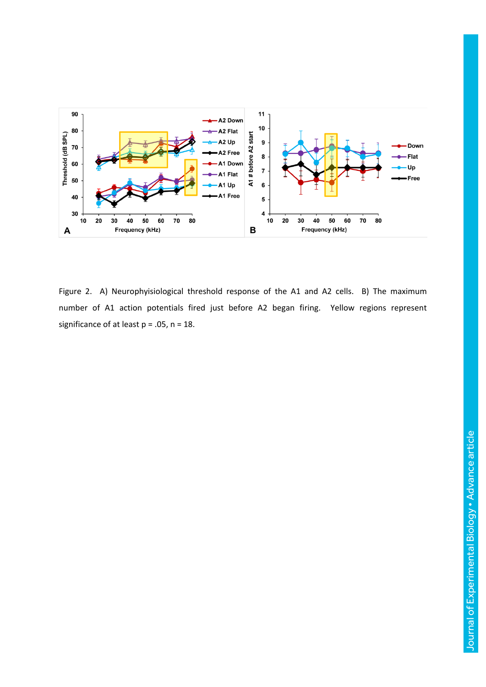

Figure 2. A) Neurophyisiological threshold response of the A1 and A2 cells. B) The maximum number of A1 action potentials fired just before A2 began firing. Yellow regions represent significance of at least  $p = .05$ ,  $n = 18$ .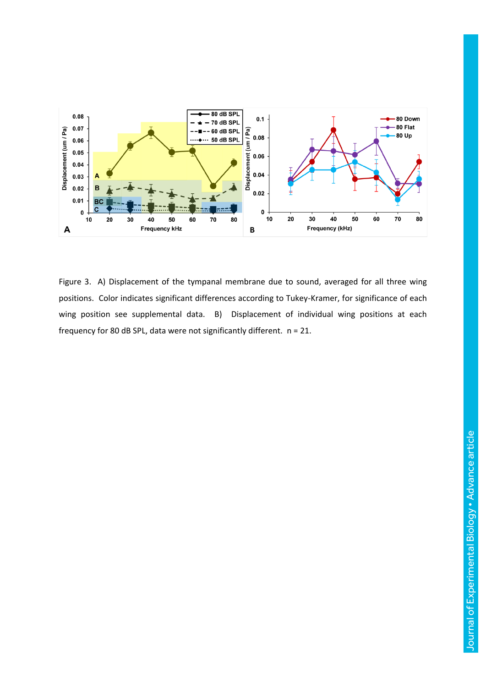

Figure 3. A) Displacement of the tympanal membrane due to sound, averaged for all three wing positions. Color indicates significant differences according to Tukey-Kramer, for significance of each wing position see supplemental data. B) Displacement of individual wing positions at each frequency for 80 dB SPL, data were not significantly different. n = 21.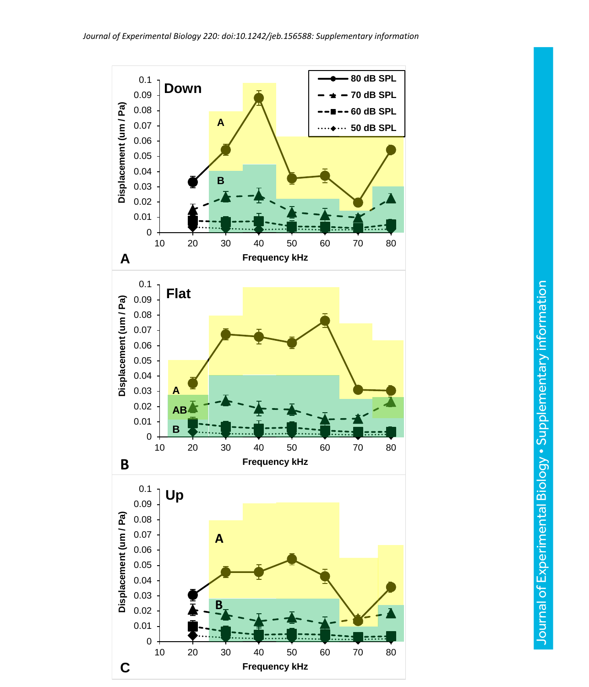